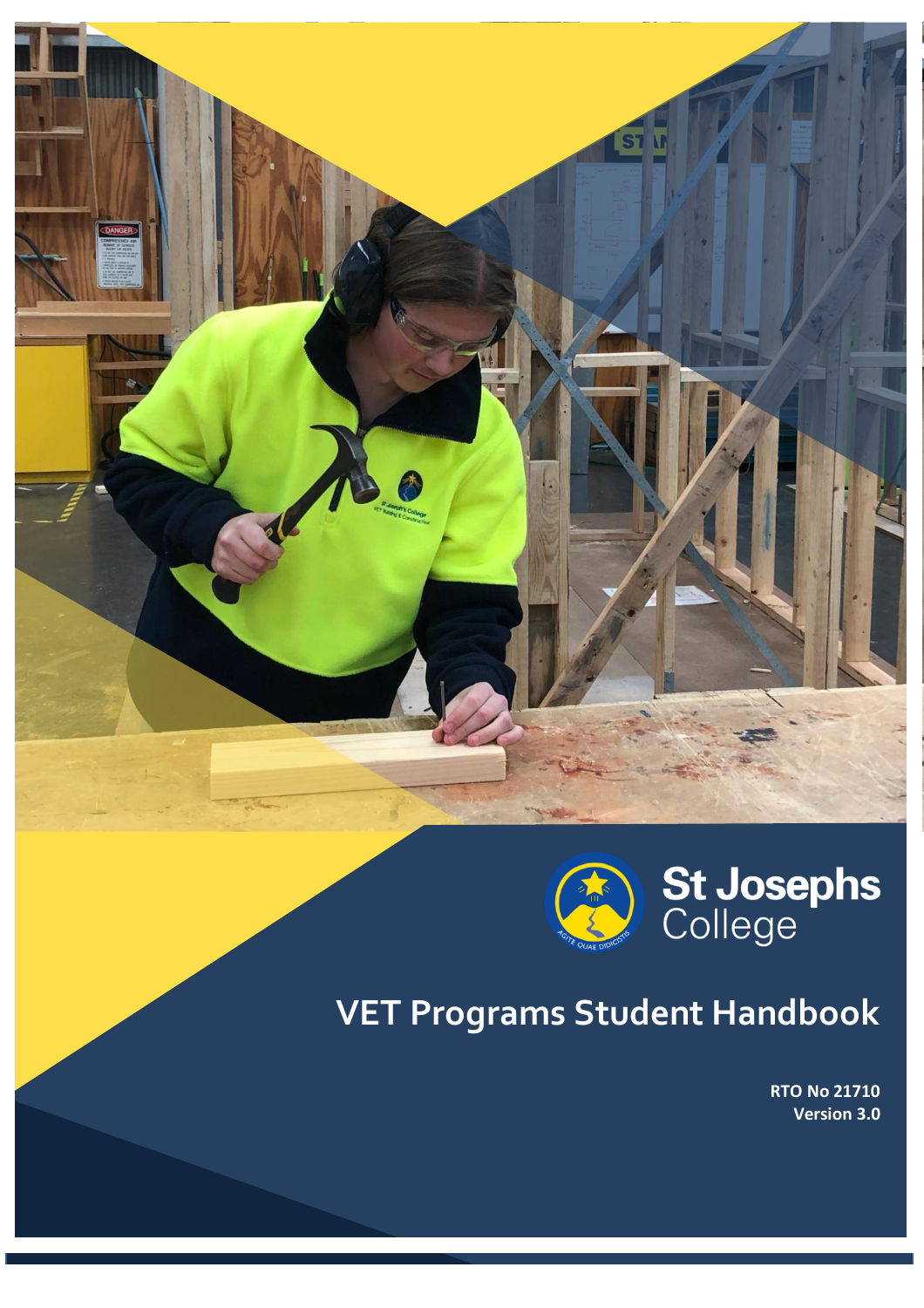

# **VET Programs Student Handbook**

**RTO No 21710 Version 3.0**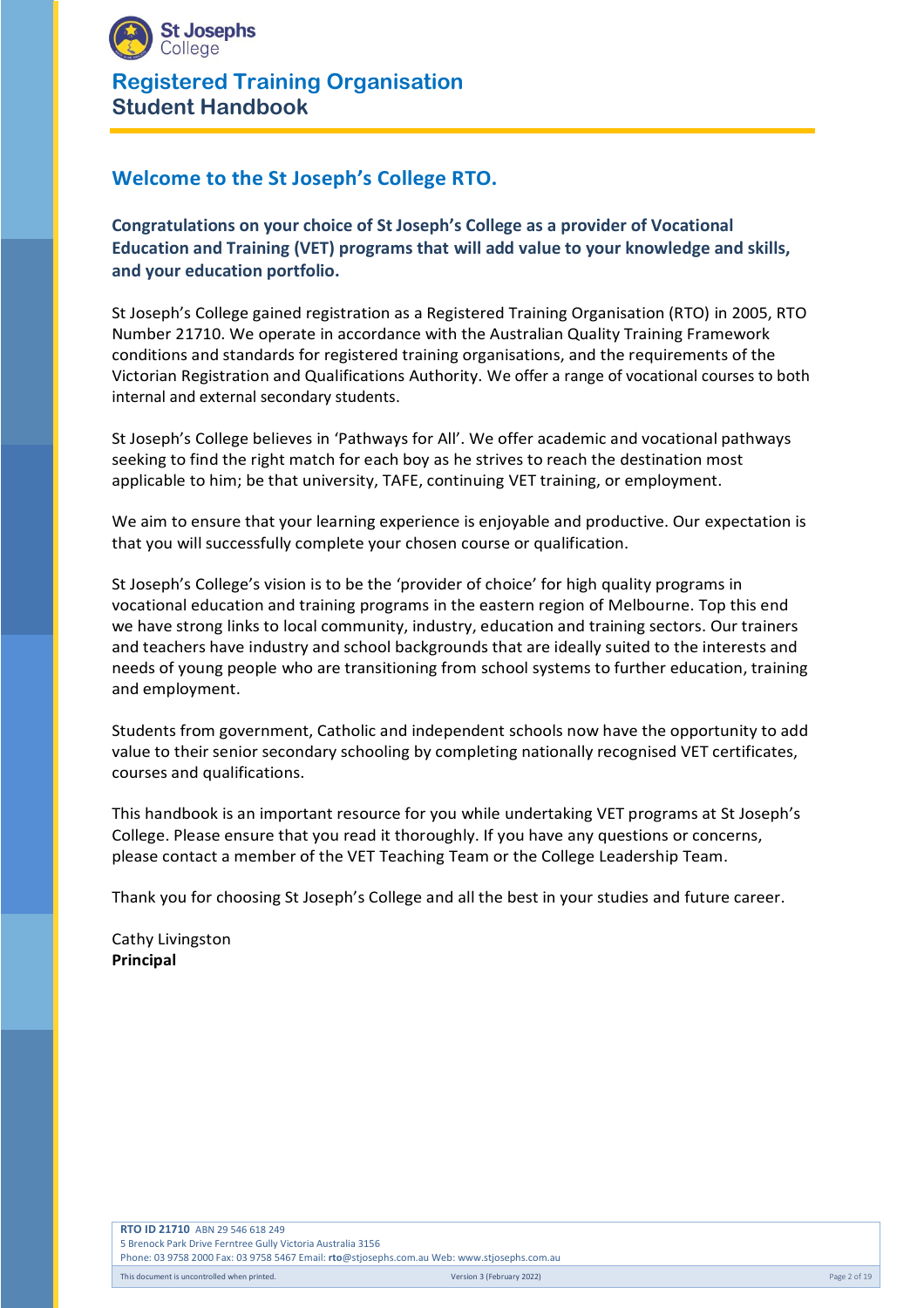

# **Welcome to the St Joseph's College RTO.**

**Congratulations on your choice of St Joseph's College as a provider of Vocational Education and Training (VET) programs that will add value to your knowledge and skills, and your education portfolio.**

St Joseph's College gained registration as a Registered Training Organisation (RTO) in 2005, RTO Number 21710. We operate in accordance with the Australian Quality Training Framework conditions and standards for registered training organisations, and the requirements of the Victorian Registration and Qualifications Authority. We offer a range of vocational courses to both internal and external secondary students.

St Joseph's College believes in 'Pathways for All'. We offer academic and vocational pathways seeking to find the right match for each boy as he strives to reach the destination most applicable to him; be that university, TAFE, continuing VET training, or employment.

We aim to ensure that your learning experience is enjoyable and productive. Our expectation is that you will successfully complete your chosen course or qualification.

St Joseph's College's vision is to be the 'provider of choice' for high quality programs in vocational education and training programs in the eastern region of Melbourne. Top this end we have strong links to local community, industry, education and training sectors. Our trainers and teachers have industry and school backgrounds that are ideally suited to the interests and needs of young people who are transitioning from school systems to further education, training and employment.

Students from government, Catholic and independent schools now have the opportunity to add value to their senior secondary schooling by completing nationally recognised VET certificates, courses and qualifications.

This handbook is an important resource for you while undertaking VET programs at St Joseph's College. Please ensure that you read it thoroughly. If you have any questions or concerns, please contact a member of the VET Teaching Team or the College Leadership Team.

Thank you for choosing St Joseph's College and all the best in your studies and future career.

Cathy Livingston **Principal**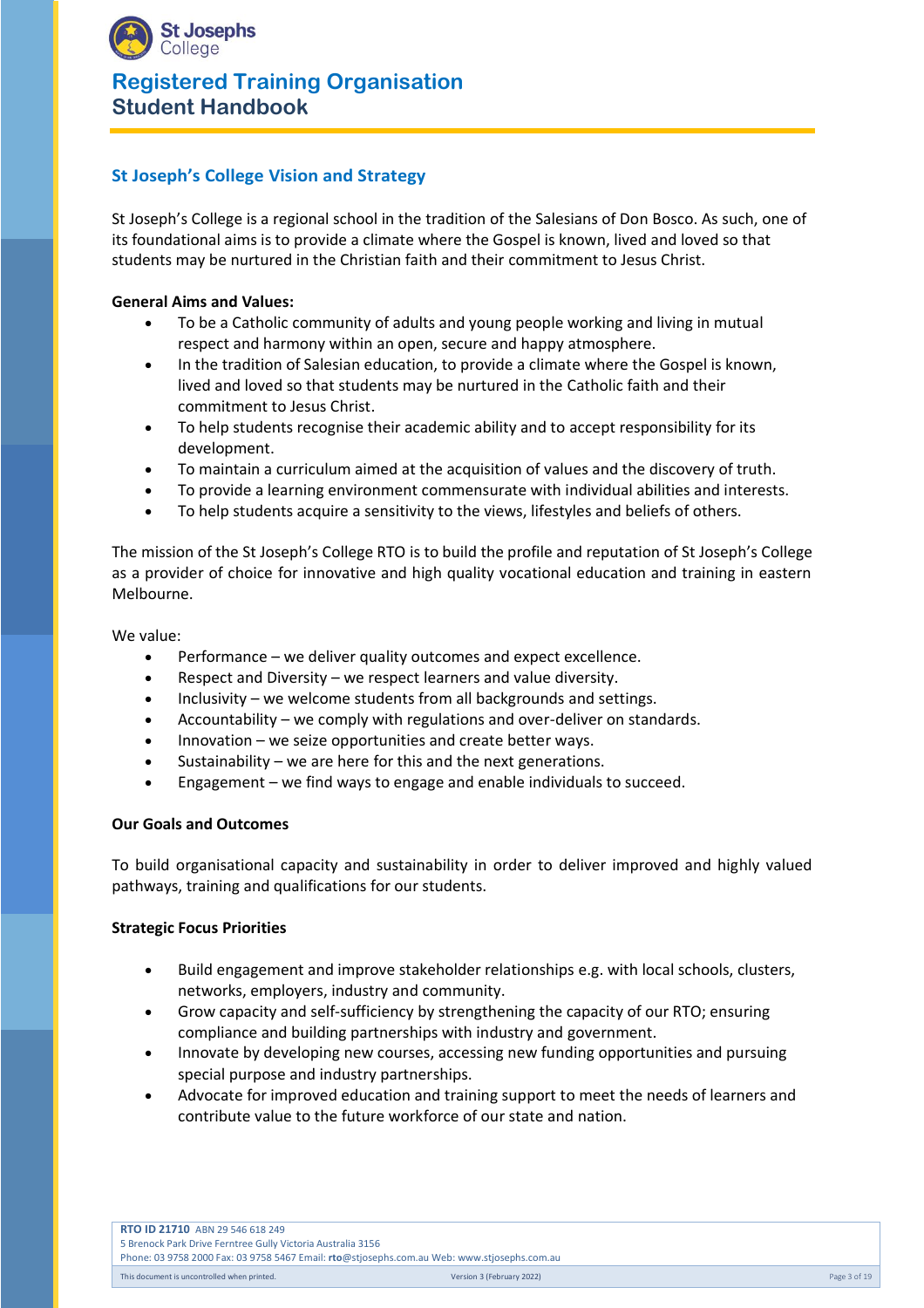

# **St Joseph's College Vision and Strategy**

St Joseph's College is a regional school in the tradition of the Salesians of Don Bosco. As such, one of its foundational aims is to provide a climate where the Gospel is known, lived and loved so that students may be nurtured in the Christian faith and their commitment to Jesus Christ.

#### **General Aims and Values:**

- To be a Catholic community of adults and young people working and living in mutual respect and harmony within an open, secure and happy atmosphere.
- In the tradition of Salesian education, to provide a climate where the Gospel is known, lived and loved so that students may be nurtured in the Catholic faith and their commitment to Jesus Christ.
- To help students recognise their academic ability and to accept responsibility for its development.
- To maintain a curriculum aimed at the acquisition of values and the discovery of truth.
- To provide a learning environment commensurate with individual abilities and interests.
- To help students acquire a sensitivity to the views, lifestyles and beliefs of others.

The mission of the St Joseph's College RTO is to build the profile and reputation of St Joseph's College as a provider of choice for innovative and high quality vocational education and training in eastern Melbourne.

We value:

- Performance we deliver quality outcomes and expect excellence.
- Respect and Diversity we respect learners and value diversity.
- Inclusivity we welcome students from all backgrounds and settings.
- Accountability we comply with regulations and over-deliver on standards.
- Innovation we seize opportunities and create better ways.
- Sustainability we are here for this and the next generations.
- Engagement we find ways to engage and enable individuals to succeed.

#### **Our Goals and Outcomes**

To build organisational capacity and sustainability in order to deliver improved and highly valued pathways, training and qualifications for our students.

#### **Strategic Focus Priorities**

- Build engagement and improve stakeholder relationships e.g. with local schools, clusters, networks, employers, industry and community.
- Grow capacity and self-sufficiency by strengthening the capacity of our RTO; ensuring compliance and building partnerships with industry and government.
- Innovate by developing new courses, accessing new funding opportunities and pursuing special purpose and industry partnerships.
- Advocate for improved education and training support to meet the needs of learners and contribute value to the future workforce of our state and nation.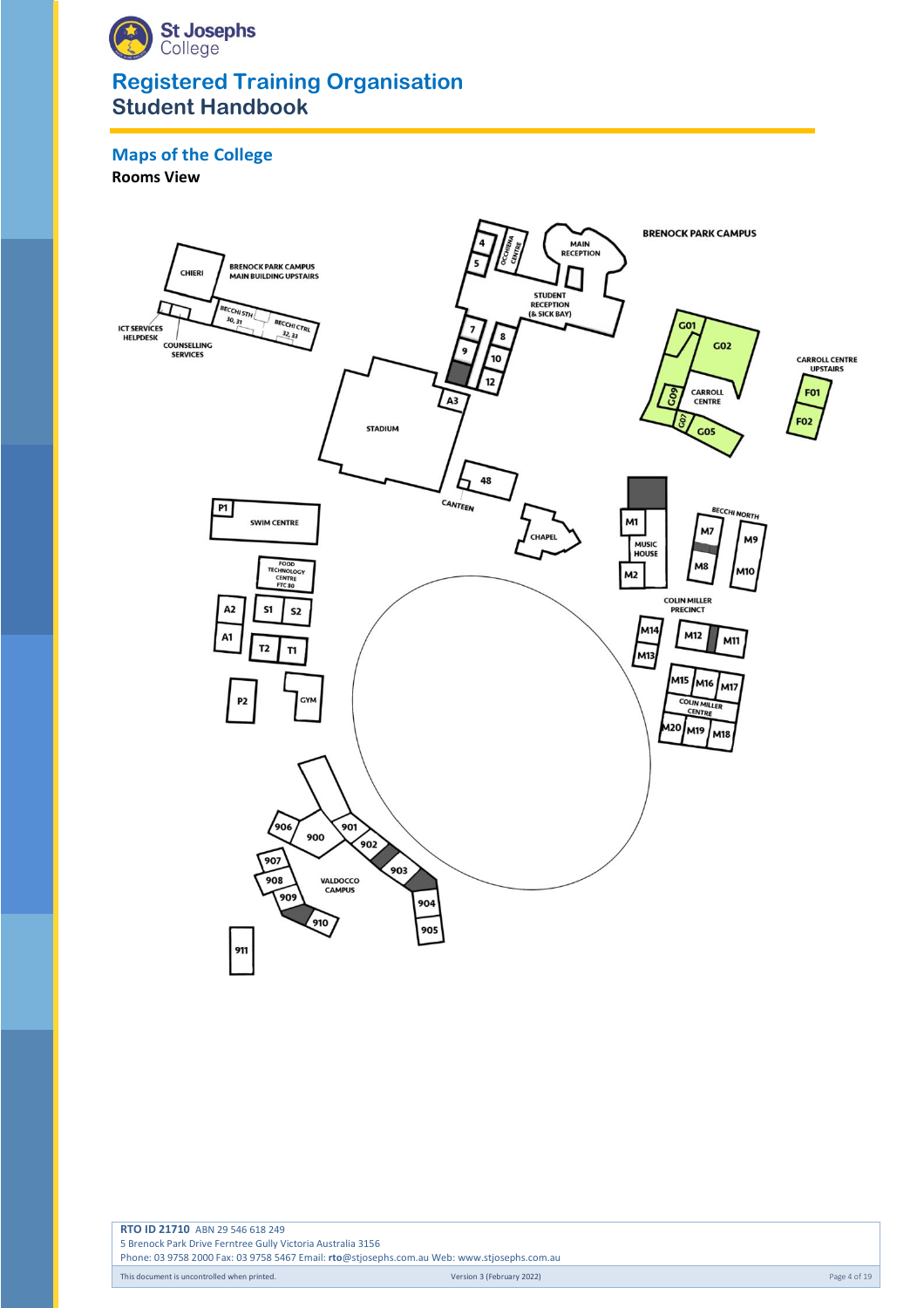

# **Maps of the College**

**Rooms View**

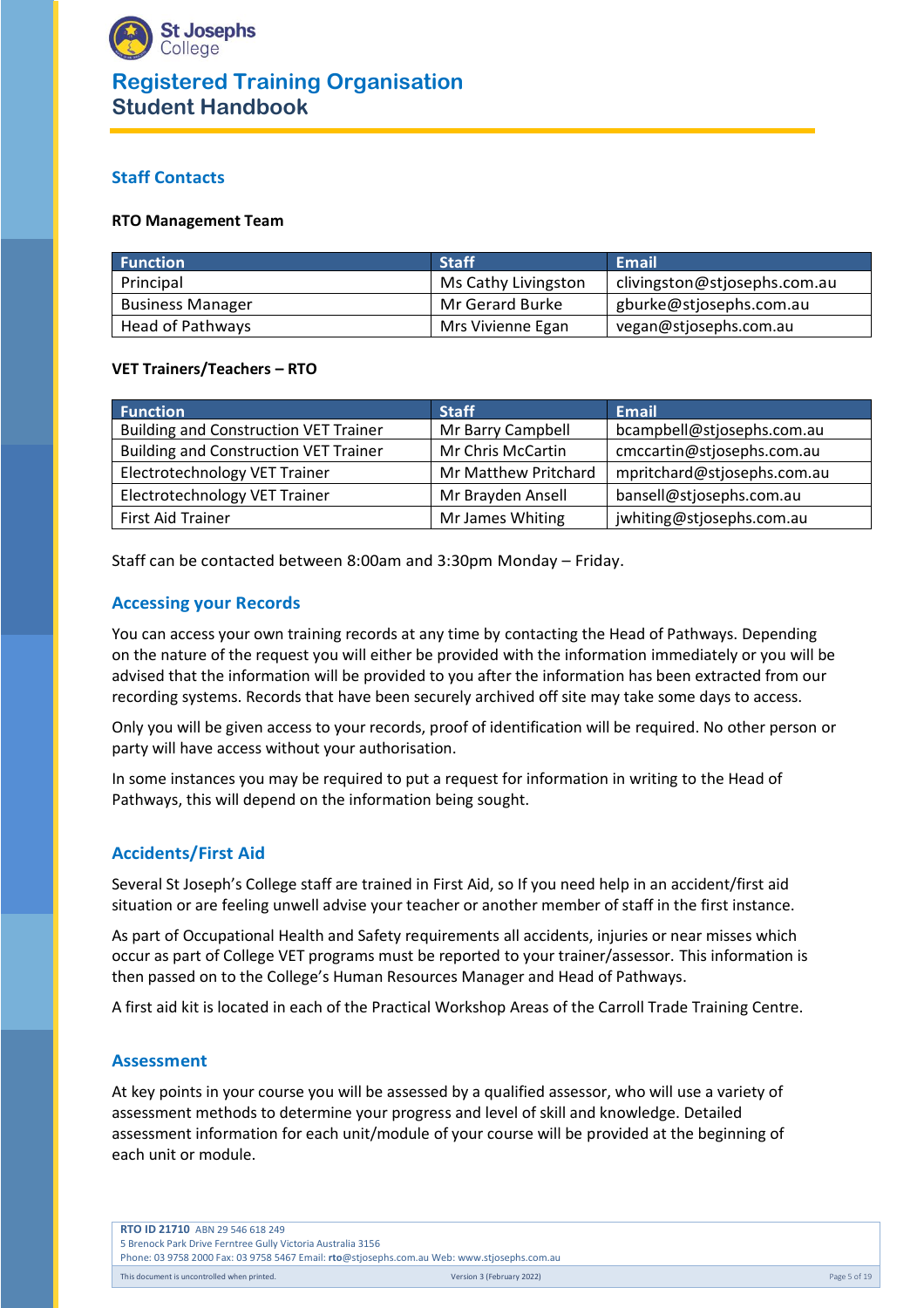

# **Staff Contacts**

#### **RTO Management Team**

| <b>Function</b>         | <b>Staff</b>        | Email                        |
|-------------------------|---------------------|------------------------------|
| Principal               | Ms Cathy Livingston | clivingston@stjosephs.com.au |
| <b>Business Manager</b> | Mr Gerard Burke     | gburke@stjosephs.com.au      |
| Head of Pathways        | Mrs Vivienne Egan   | vegan@stjosephs.com.au       |

#### **VET Trainers/Teachers – RTO**

| <b>Function</b>                              | <b>Staff</b>         | <b>Email</b>                |
|----------------------------------------------|----------------------|-----------------------------|
| <b>Building and Construction VET Trainer</b> | Mr Barry Campbell    | bcampbell@stjosephs.com.au  |
| <b>Building and Construction VET Trainer</b> | Mr Chris McCartin    | cmccartin@stjosephs.com.au  |
| Electrotechnology VET Trainer                | Mr Matthew Pritchard | mpritchard@stjosephs.com.au |
| Electrotechnology VET Trainer                | Mr Brayden Ansell    | bansell@stjosephs.com.au    |
| <b>First Aid Trainer</b>                     | Mr James Whiting     | jwhiting@stjosephs.com.au   |

Staff can be contacted between 8:00am and 3:30pm Monday – Friday.

#### **Accessing your Records**

You can access your own training records at any time by contacting the Head of Pathways. Depending on the nature of the request you will either be provided with the information immediately or you will be advised that the information will be provided to you after the information has been extracted from our recording systems. Records that have been securely archived off site may take some days to access.

Only you will be given access to your records, proof of identification will be required. No other person or party will have access without your authorisation.

In some instances you may be required to put a request for information in writing to the Head of Pathways, this will depend on the information being sought.

#### **Accidents/First Aid**

Several St Joseph's College staff are trained in First Aid, so If you need help in an accident/first aid situation or are feeling unwell advise your teacher or another member of staff in the first instance.

As part of Occupational Health and Safety requirements all accidents, injuries or near misses which occur as part of College VET programs must be reported to your trainer/assessor. This information is then passed on to the College's Human Resources Manager and Head of Pathways.

A first aid kit is located in each of the Practical Workshop Areas of the Carroll Trade Training Centre.

#### **Assessment**

At key points in your course you will be assessed by a qualified assessor, who will use a variety of assessment methods to determine your progress and level of skill and knowledge. Detailed assessment information for each unit/module of your course will be provided at the beginning of each unit or module.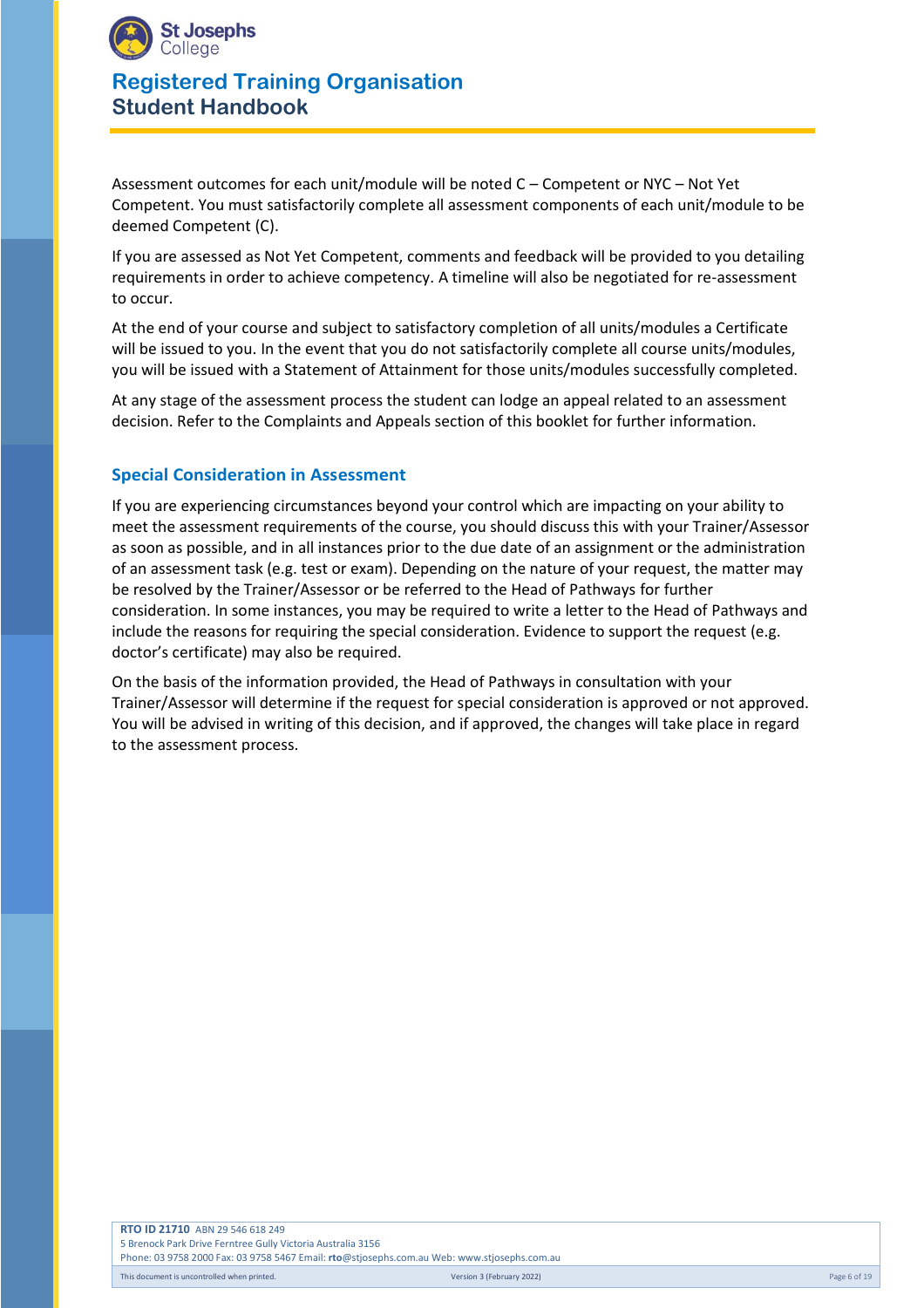

Assessment outcomes for each unit/module will be noted C – Competent or NYC – Not Yet Competent. You must satisfactorily complete all assessment components of each unit/module to be deemed Competent (C).

If you are assessed as Not Yet Competent, comments and feedback will be provided to you detailing requirements in order to achieve competency. A timeline will also be negotiated for re-assessment to occur.

At the end of your course and subject to satisfactory completion of all units/modules a Certificate will be issued to you. In the event that you do not satisfactorily complete all course units/modules, you will be issued with a Statement of Attainment for those units/modules successfully completed.

At any stage of the assessment process the student can lodge an appeal related to an assessment decision. Refer to the Complaints and Appeals section of this booklet for further information.

# **Special Consideration in Assessment**

If you are experiencing circumstances beyond your control which are impacting on your ability to meet the assessment requirements of the course, you should discuss this with your Trainer/Assessor as soon as possible, and in all instances prior to the due date of an assignment or the administration of an assessment task (e.g. test or exam). Depending on the nature of your request, the matter may be resolved by the Trainer/Assessor or be referred to the Head of Pathways for further consideration. In some instances, you may be required to write a letter to the Head of Pathways and include the reasons for requiring the special consideration. Evidence to support the request (e.g. doctor's certificate) may also be required.

On the basis of the information provided, the Head of Pathways in consultation with your Trainer/Assessor will determine if the request for special consideration is approved or not approved. You will be advised in writing of this decision, and if approved, the changes will take place in regard to the assessment process.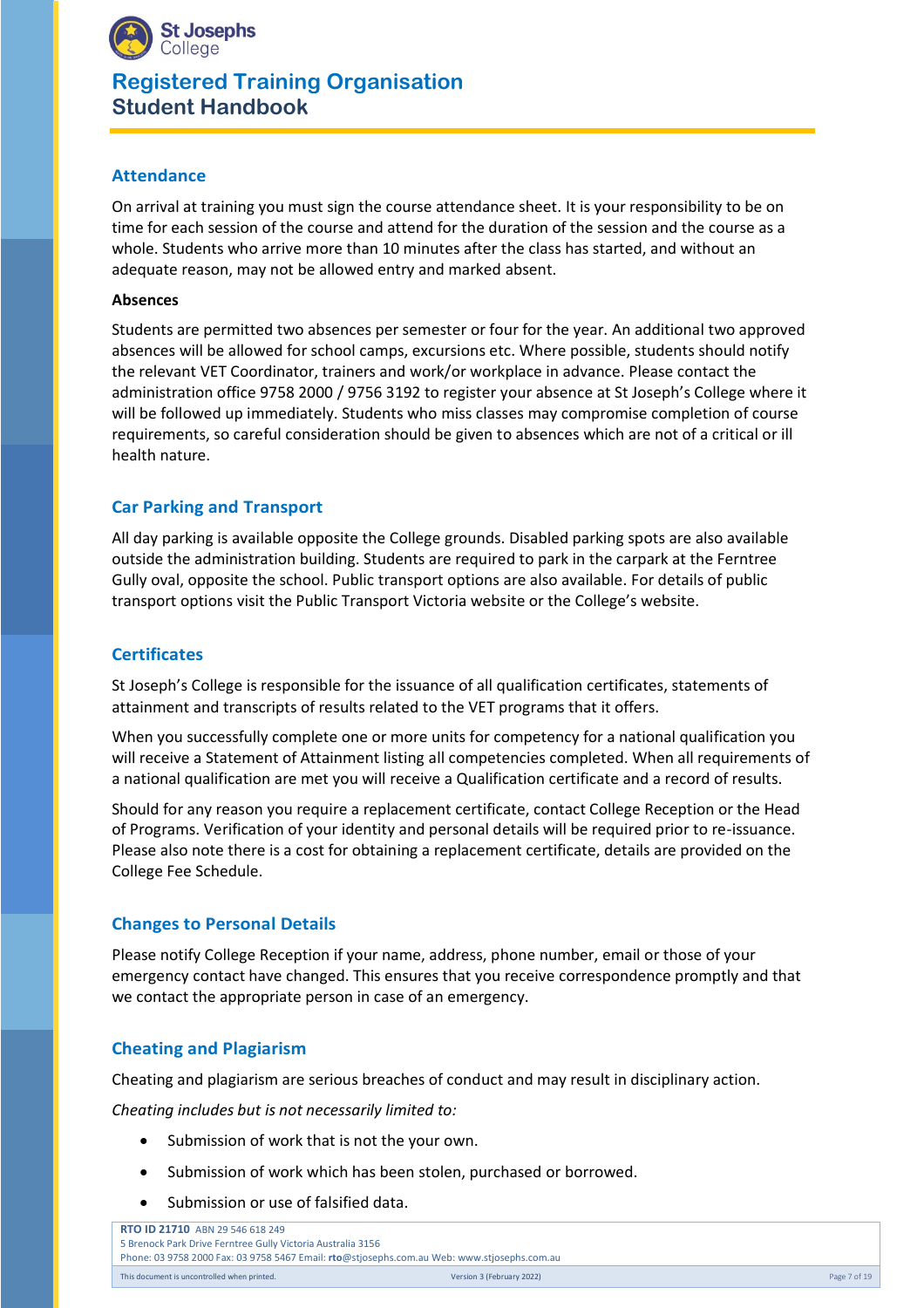

## **Attendance**

On arrival at training you must sign the course attendance sheet. It is your responsibility to be on time for each session of the course and attend for the duration of the session and the course as a whole. Students who arrive more than 10 minutes after the class has started, and without an adequate reason, may not be allowed entry and marked absent.

#### **Absences**

Students are permitted two absences per semester or four for the year. An additional two approved absences will be allowed for school camps, excursions etc. Where possible, students should notify the relevant VET Coordinator, trainers and work/or workplace in advance. Please contact the administration office 9758 2000 / 9756 3192 to register your absence at St Joseph's College where it will be followed up immediately. Students who miss classes may compromise completion of course requirements, so careful consideration should be given to absences which are not of a critical or ill health nature.

## **Car Parking and Transport**

All day parking is available opposite the College grounds. Disabled parking spots are also available outside the administration building. Students are required to park in the carpark at the Ferntree Gully oval, opposite the school. Public transport options are also available. For details of public transport options visit the Public Transport Victoria website or the College's website.

## **Certificates**

St Joseph's College is responsible for the issuance of all qualification certificates, statements of attainment and transcripts of results related to the VET programs that it offers.

When you successfully complete one or more units for competency for a national qualification you will receive a Statement of Attainment listing all competencies completed. When all requirements of a national qualification are met you will receive a Qualification certificate and a record of results.

Should for any reason you require a replacement certificate, contact College Reception or the Head of Programs. Verification of your identity and personal details will be required prior to re-issuance. Please also note there is a cost for obtaining a replacement certificate, details are provided on the College Fee Schedule.

## **Changes to Personal Details**

Please notify College Reception if your name, address, phone number, email or those of your emergency contact have changed. This ensures that you receive correspondence promptly and that we contact the appropriate person in case of an emergency.

#### **Cheating and Plagiarism**

Cheating and plagiarism are serious breaches of conduct and may result in disciplinary action.

*Cheating includes but is not necessarily limited to:*

- Submission of work that is not the your own.
- Submission of work which has been stolen, purchased or borrowed.
- Submission or use of falsified data.

| <b>RTO ID 21710 ABN 29 546 618 249</b>                                                      |                           |              |
|---------------------------------------------------------------------------------------------|---------------------------|--------------|
| 5 Brenock Park Drive Ferntree Gully Victoria Australia 3156                                 |                           |              |
| Phone: 03 9758 2000 Fax: 03 9758 5467 Email: rto@stjosephs.com.au Web: www.stjosephs.com.au |                           |              |
| This document is uncontrolled when printed.                                                 | Version 3 (February 2022) | Page 7 of 19 |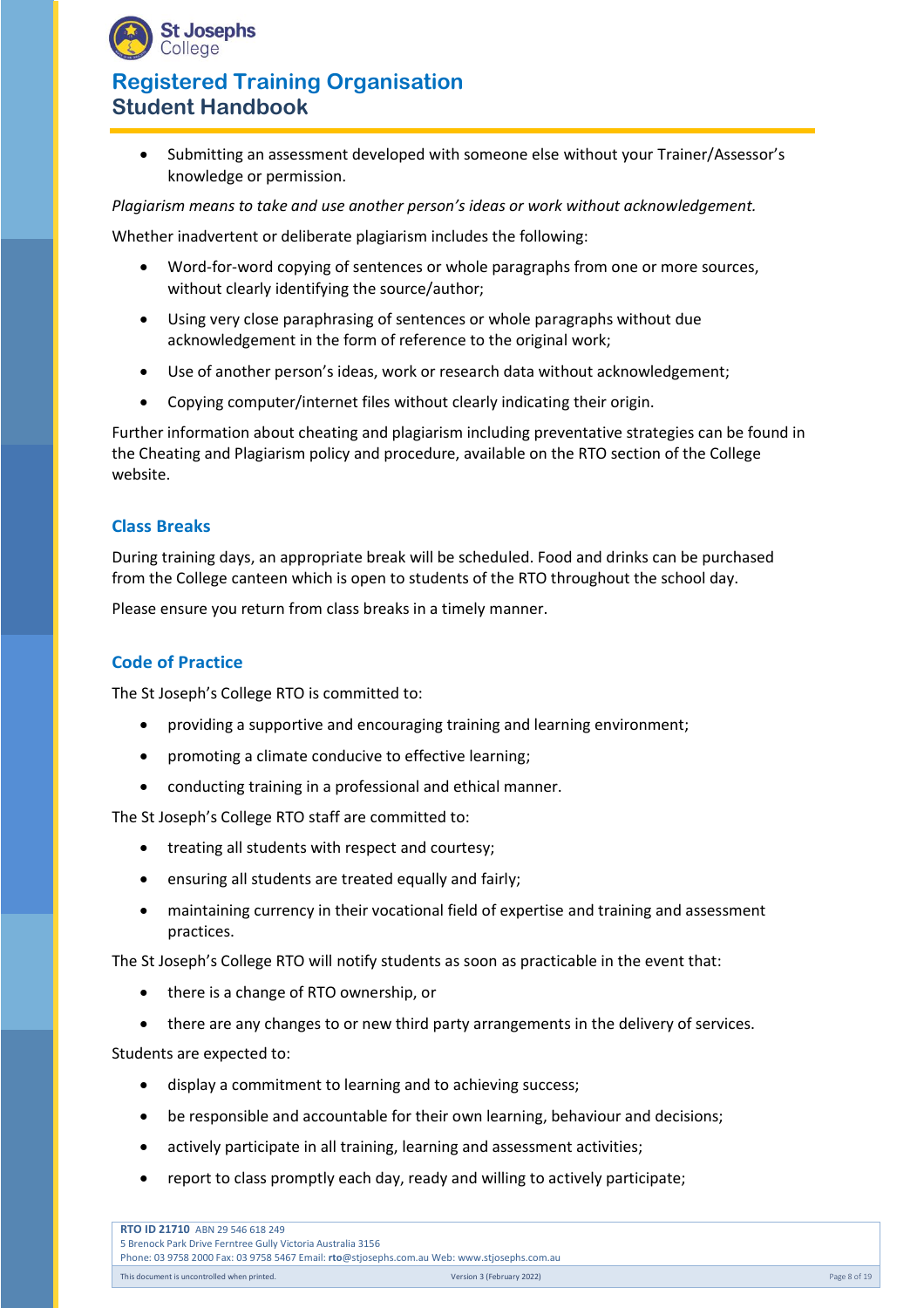

• Submitting an assessment developed with someone else without your Trainer/Assessor's knowledge or permission.

*Plagiarism means to take and use another person's ideas or work without acknowledgement.*

Whether inadvertent or deliberate plagiarism includes the following:

- Word-for-word copying of sentences or whole paragraphs from one or more sources, without clearly identifying the source/author;
- Using very close paraphrasing of sentences or whole paragraphs without due acknowledgement in the form of reference to the original work;
- Use of another person's ideas, work or research data without acknowledgement;
- Copying computer/internet files without clearly indicating their origin.

Further information about cheating and plagiarism including preventative strategies can be found in the Cheating and Plagiarism policy and procedure, available on the RTO section of the College website.

#### **Class Breaks**

During training days, an appropriate break will be scheduled. Food and drinks can be purchased from the College canteen which is open to students of the RTO throughout the school day.

Please ensure you return from class breaks in a timely manner.

## **Code of Practice**

The St Joseph's College RTO is committed to:

- providing a supportive and encouraging training and learning environment;
- promoting a climate conducive to effective learning;
- conducting training in a professional and ethical manner.

The St Joseph's College RTO staff are committed to:

- treating all students with respect and courtesy;
- ensuring all students are treated equally and fairly;
- maintaining currency in their vocational field of expertise and training and assessment practices.

The St Joseph's College RTO will notify students as soon as practicable in the event that:

- there is a change of RTO ownership, or
- there are any changes to or new third party arrangements in the delivery of services.

Students are expected to:

- display a commitment to learning and to achieving success;
- be responsible and accountable for their own learning, behaviour and decisions;
- actively participate in all training, learning and assessment activities;
- report to class promptly each day, ready and willing to actively participate;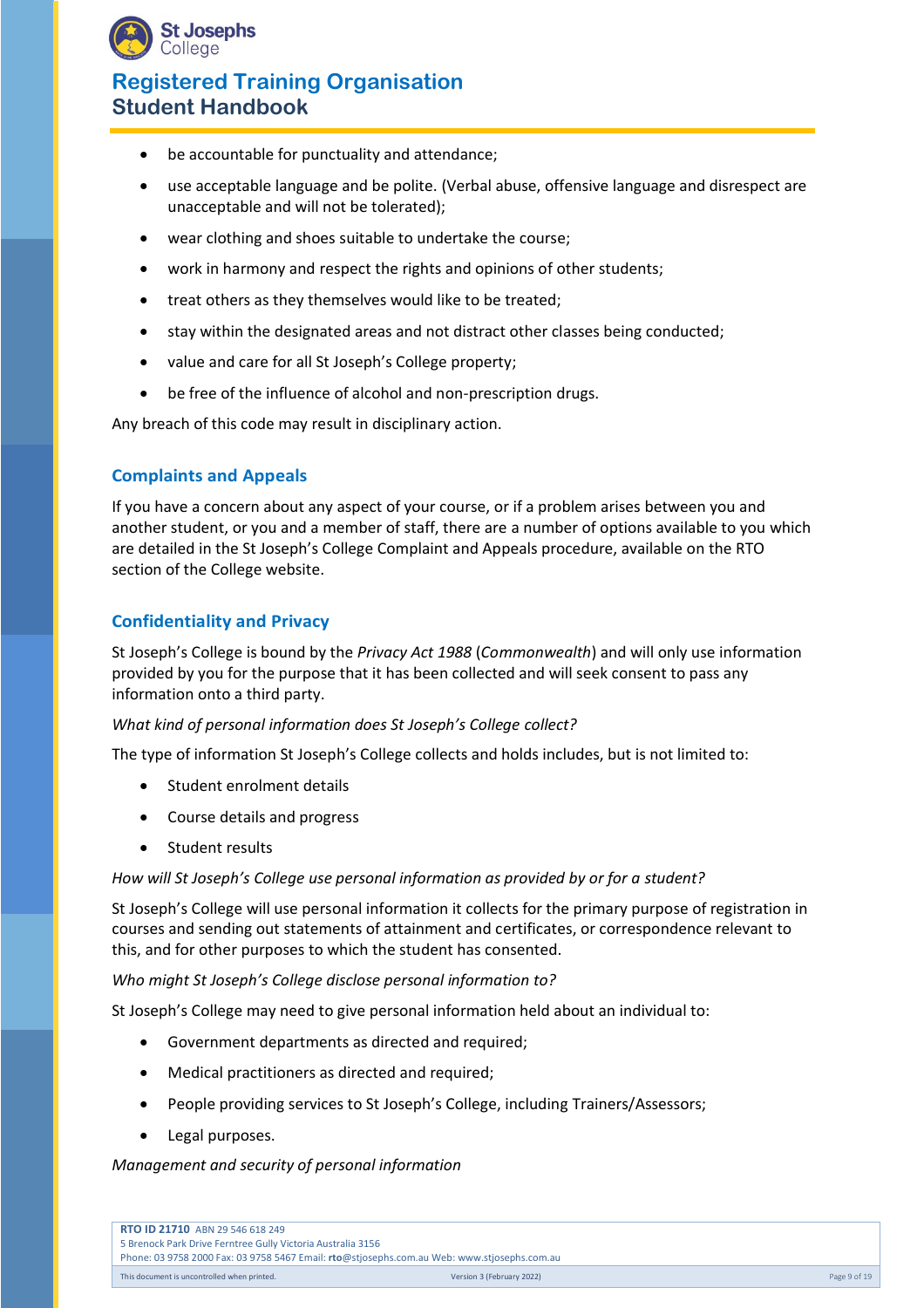

- be accountable for punctuality and attendance;
- use acceptable language and be polite. (Verbal abuse, offensive language and disrespect are unacceptable and will not be tolerated);
- wear clothing and shoes suitable to undertake the course;
- work in harmony and respect the rights and opinions of other students;
- treat others as they themselves would like to be treated;
- stay within the designated areas and not distract other classes being conducted;
- value and care for all St Joseph's College property;
- be free of the influence of alcohol and non-prescription drugs.

Any breach of this code may result in disciplinary action.

## **Complaints and Appeals**

If you have a concern about any aspect of your course, or if a problem arises between you and another student, or you and a member of staff, there are a number of options available to you which are detailed in the St Joseph's College Complaint and Appeals procedure, available on the RTO section of the College website.

# **Confidentiality and Privacy**

St Joseph's College is bound by the *Privacy Act 1988* (*Commonwealth*) and will only use information provided by you for the purpose that it has been collected and will seek consent to pass any information onto a third party.

#### *What kind of personal information does St Joseph's College collect?*

The type of information St Joseph's College collects and holds includes, but is not limited to:

- Student enrolment details
- Course details and progress
- Student results

#### How will St Joseph's College use personal information as provided by or for a student?

St Joseph's College will use personal information it collects for the primary purpose of registration in courses and sending out statements of attainment and certificates, or correspondence relevant to this, and for other purposes to which the student has consented.

#### *Who might St Joseph's College disclose personal information to?*

St Joseph's College may need to give personal information held about an individual to:

- Government departments as directed and required;
- Medical practitioners as directed and required;
- People providing services to St Joseph's College, including Trainers/Assessors;
- Legal purposes.

#### *Management and security of personal information*

| <b>RTO ID 21710 ABN 29 546 618 249</b>                                                      |                           |              |
|---------------------------------------------------------------------------------------------|---------------------------|--------------|
| 5 Brenock Park Drive Ferntree Gully Victoria Australia 3156                                 |                           |              |
| Phone: 03 9758 2000 Fax: 03 9758 5467 Email: rto@stjosephs.com.au Web: www.stjosephs.com.au |                           |              |
| This document is uncontrolled when printed.                                                 | Version 3 (February 2022) | Page 9 of 19 |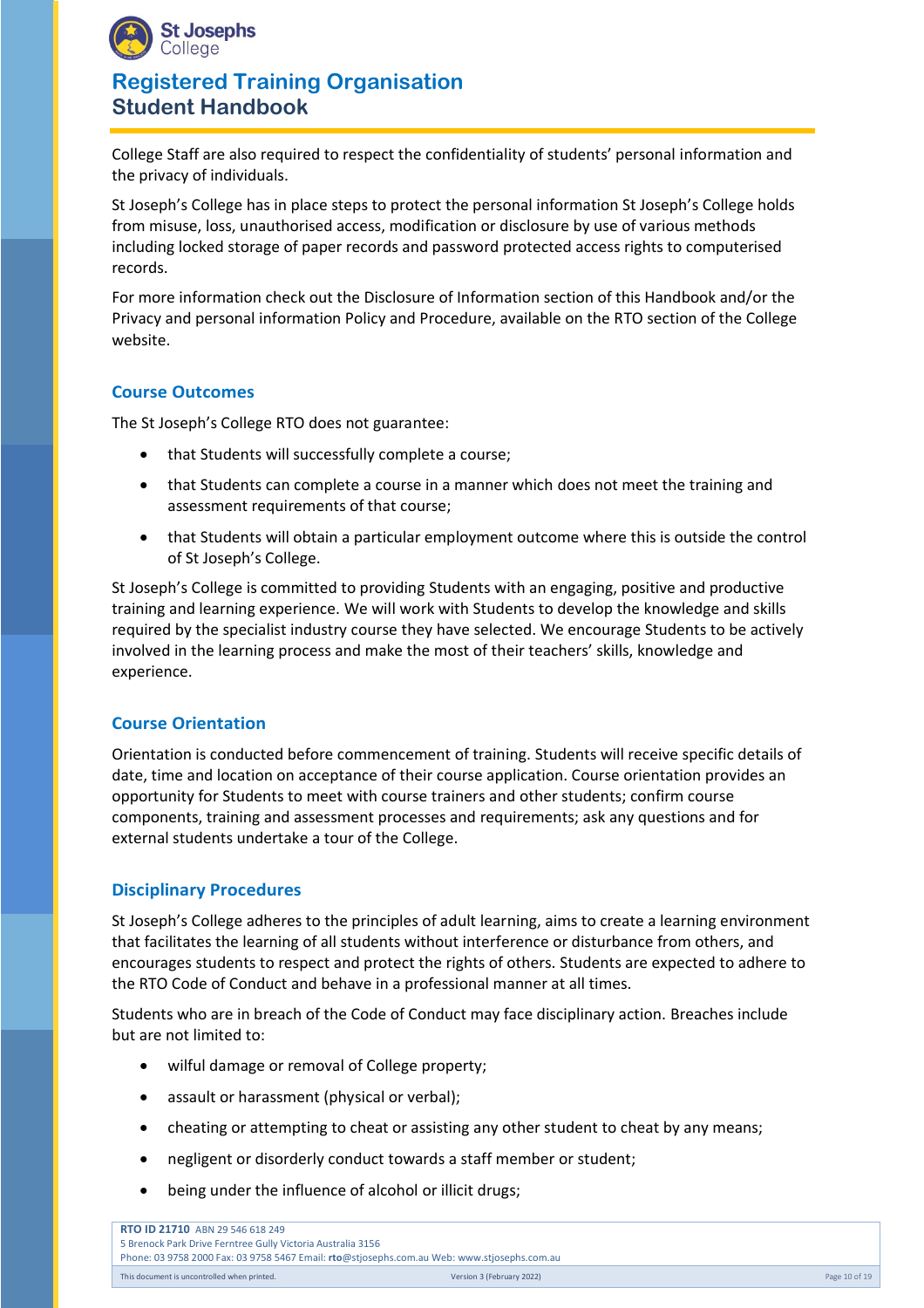

College Staff are also required to respect the confidentiality of students' personal information and the privacy of individuals.

St Joseph's College has in place steps to protect the personal information St Joseph's College holds from misuse, loss, unauthorised access, modification or disclosure by use of various methods including locked storage of paper records and password protected access rights to computerised records.

For more information check out the Disclosure of Information section of this Handbook and/or the Privacy and personal information Policy and Procedure, available on the RTO section of the College website.

## **Course Outcomes**

The St Joseph's College RTO does not guarantee:

- that Students will successfully complete a course;
- that Students can complete a course in a manner which does not meet the training and assessment requirements of that course;
- that Students will obtain a particular employment outcome where this is outside the control of St Joseph's College.

St Joseph's College is committed to providing Students with an engaging, positive and productive training and learning experience. We will work with Students to develop the knowledge and skills required by the specialist industry course they have selected. We encourage Students to be actively involved in the learning process and make the most of their teachers' skills, knowledge and experience.

## **Course Orientation**

Orientation is conducted before commencement of training. Students will receive specific details of date, time and location on acceptance of their course application. Course orientation provides an opportunity for Students to meet with course trainers and other students; confirm course components, training and assessment processes and requirements; ask any questions and for external students undertake a tour of the College.

#### **Disciplinary Procedures**

St Joseph's College adheres to the principles of adult learning, aims to create a learning environment that facilitates the learning of all students without interference or disturbance from others, and encourages students to respect and protect the rights of others. Students are expected to adhere to the RTO Code of Conduct and behave in a professional manner at all times.

Students who are in breach of the Code of Conduct may face disciplinary action. Breaches include but are not limited to:

- wilful damage or removal of College property;
- assault or harassment (physical or verbal);
- cheating or attempting to cheat or assisting any other student to cheat by any means;
- negligent or disorderly conduct towards a staff member or student;
- being under the influence of alcohol or illicit drugs;

**RTO ID 21710** ABN 29 546 618 249 5 Brenock Park Drive Ferntree Gully Victoria Australia 3156 Phone: 03 9758 2000 Fax: 03 9758 5467 Email: **rto**@stjosephs.com.au Web: www.stjosephs.com.au This document is uncontrolled when printed. This controlled when printed. Controlled when printed. Controlled when printed. Page 10 of 19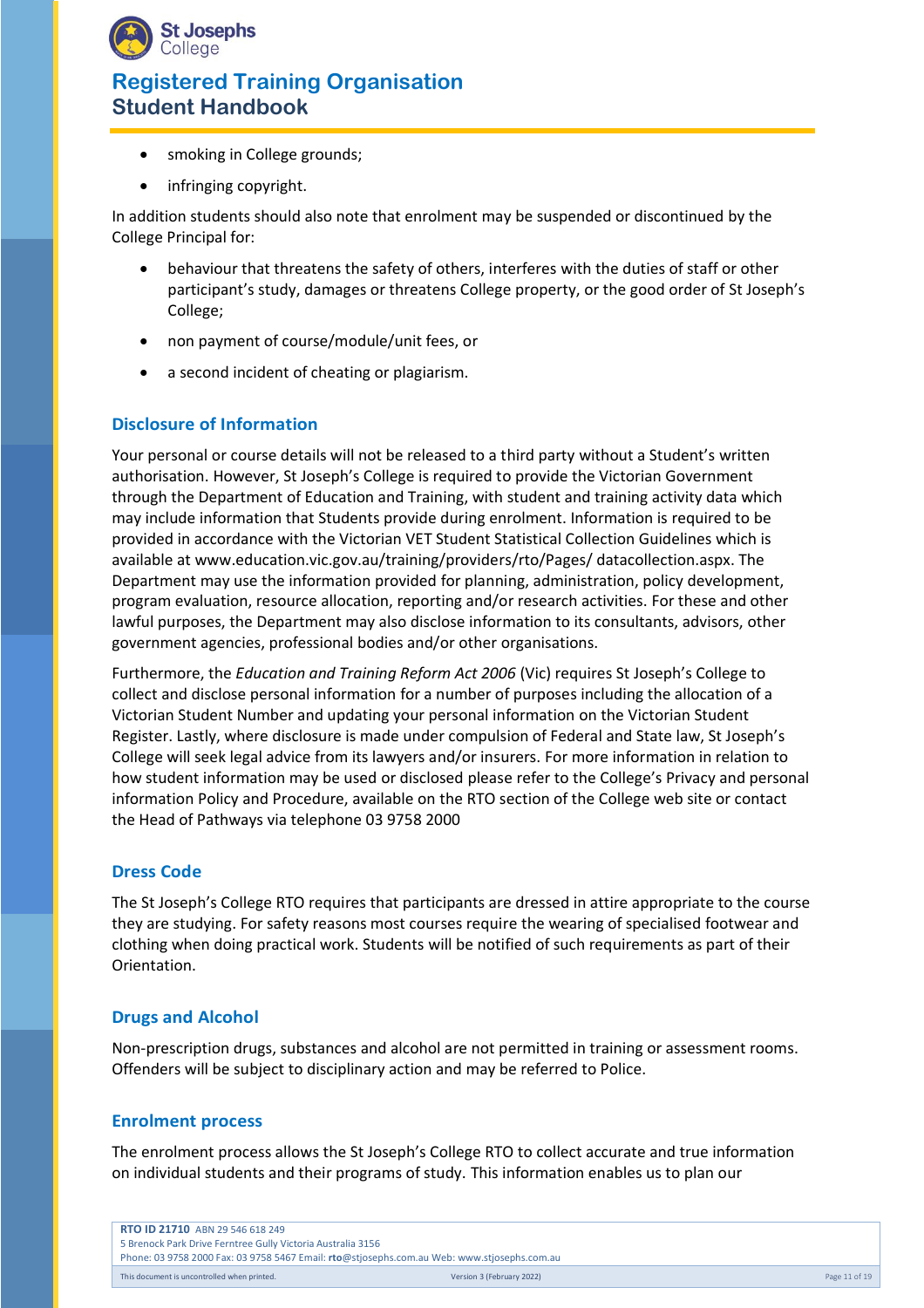

- smoking in College grounds;
- infringing copyright.

In addition students should also note that enrolment may be suspended or discontinued by the College Principal for:

- behaviour that threatens the safety of others, interferes with the duties of staff or other participant's study, damages or threatens College property, or the good order of St Joseph's College;
- non payment of course/module/unit fees, or
- a second incident of cheating or plagiarism.

## **Disclosure of Information**

Your personal or course details will not be released to a third party without a Student's written authorisation. However, St Joseph's College is required to provide the Victorian Government through the Department of Education and Training, with student and training activity data which may include information that Students provide during enrolment. Information is required to be provided in accordance with the Victorian VET Student Statistical Collection Guidelines which is available at [www.education.vic.gov.au/training/providers/rto/Pages/ datacollection.aspx.](http://www.education.vic.gov.au/training/providers/rto/Pages/%20datacollection.aspx) The Department may use the information provided for planning, administration, policy development, program evaluation, resource allocation, reporting and/or research activities. For these and other lawful purposes, the Department may also disclose information to its consultants, advisors, other government agencies, professional bodies and/or other organisations.

Furthermore, the *Education and Training Reform Act 2006* (Vic) requires St Joseph's College to collect and disclose personal information for a number of purposes including the allocation of a Victorian Student Number and updating your personal information on the Victorian Student Register. Lastly, where disclosure is made under compulsion of Federal and State law, St Joseph's College will seek legal advice from its lawyers and/or insurers. For more information in relation to how student information may be used or disclosed please refer to the College's Privacy and personal information Policy and Procedure, available on the RTO section of the College web site or contact the Head of Pathways via telephone 03 9758 2000

## **Dress Code**

The St Joseph's College RTO requires that participants are dressed in attire appropriate to the course they are studying. For safety reasons most courses require the wearing of specialised footwear and clothing when doing practical work. Students will be notified of such requirements as part of their Orientation.

## **Drugs and Alcohol**

Non-prescription drugs, substances and alcohol are not permitted in training or assessment rooms. Offenders will be subject to disciplinary action and may be referred to Police.

#### **Enrolment process**

The enrolment process allows the St Joseph's College RTO to collect accurate and true information on individual students and their programs of study. This information enables us to plan our

| <b>RTO ID 21710 ABN 29 546 618 249</b>                                                      |                           |               |
|---------------------------------------------------------------------------------------------|---------------------------|---------------|
| 5 Brenock Park Drive Ferntree Gully Victoria Australia 3156                                 |                           |               |
| Phone: 03 9758 2000 Fax: 03 9758 5467 Email: rto@stjosephs.com.au Web: www.stjosephs.com.au |                           |               |
| This document is uncontrolled when printed.                                                 | Version 3 (February 2022) | Page 11 of 19 |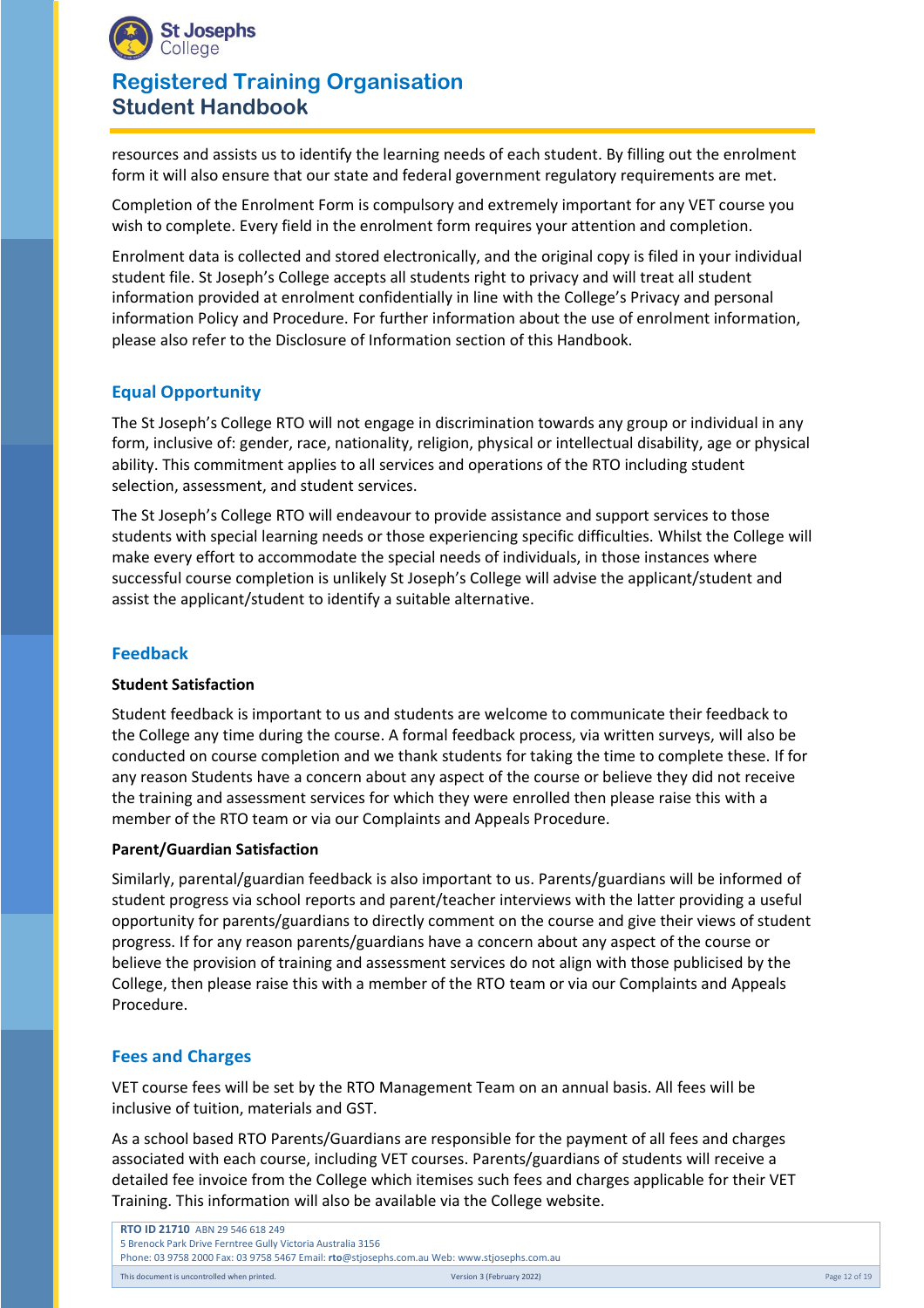

resources and assists us to identify the learning needs of each student. By filling out the enrolment form it will also ensure that our state and federal government regulatory requirements are met.

Completion of the Enrolment Form is compulsory and extremely important for any VET course you wish to complete. Every field in the enrolment form requires your attention and completion.

Enrolment data is collected and stored electronically, and the original copy is filed in your individual student file. St Joseph's College accepts all students right to privacy and will treat all student information provided at enrolment confidentially in line with the College's Privacy and personal information Policy and Procedure. For further information about the use of enrolment information, please also refer to the Disclosure of Information section of this Handbook.

# **Equal Opportunity**

The St Joseph's College RTO will not engage in discrimination towards any group or individual in any form, inclusive of: gender, race, nationality, religion, physical or intellectual disability, age or physical ability. This commitment applies to all services and operations of the RTO including student selection, assessment, and student services.

The St Joseph's College RTO will endeavour to provide assistance and support services to those students with special learning needs or those experiencing specific difficulties. Whilst the College will make every effort to accommodate the special needs of individuals, in those instances where successful course completion is unlikely St Joseph's College will advise the applicant/student and assist the applicant/student to identify a suitable alternative.

## **Feedback**

#### **Student Satisfaction**

Student feedback is important to us and students are welcome to communicate their feedback to the College any time during the course. A formal feedback process, via written surveys, will also be conducted on course completion and we thank students for taking the time to complete these. If for any reason Students have a concern about any aspect of the course or believe they did not receive the training and assessment services for which they were enrolled then please raise this with a member of the RTO team or via our Complaints and Appeals Procedure.

#### **Parent/Guardian Satisfaction**

Similarly, parental/guardian feedback is also important to us. Parents/guardians will be informed of student progress via school reports and parent/teacher interviews with the latter providing a useful opportunity for parents/guardians to directly comment on the course and give their views of student progress. If for any reason parents/guardians have a concern about any aspect of the course or believe the provision of training and assessment services do not align with those publicised by the College, then please raise this with a member of the RTO team or via our Complaints and Appeals Procedure.

#### **Fees and Charges**

VET course fees will be set by the RTO Management Team on an annual basis. All fees will be inclusive of tuition, materials and GST.

As a school based RTO Parents/Guardians are responsible for the payment of all fees and charges associated with each course, including VET courses. Parents/guardians of students will receive a detailed fee invoice from the College which itemises such fees and charges applicable for their VET Training. This information will also be available via the College website.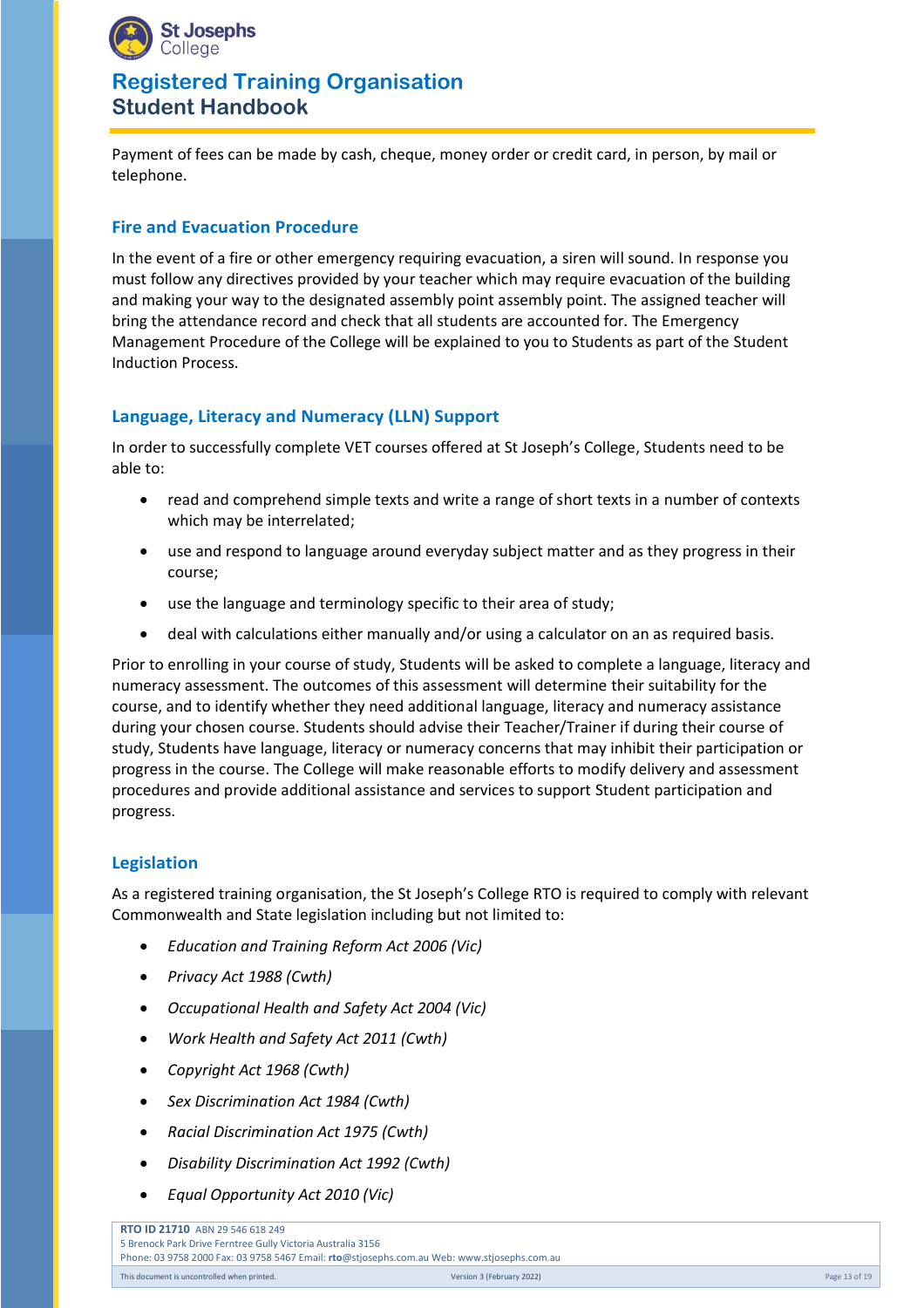

Payment of fees can be made by cash, cheque, money order or credit card, in person, by mail or telephone.

## **Fire and Evacuation Procedure**

In the event of a fire or other emergency requiring evacuation, a siren will sound. In response you must follow any directives provided by your teacher which may require evacuation of the building and making your way to the designated assembly point assembly point. The assigned teacher will bring the attendance record and check that all students are accounted for. The Emergency Management Procedure of the College will be explained to you to Students as part of the Student Induction Process.

## **Language, Literacy and Numeracy (LLN) Support**

In order to successfully complete VET courses offered at St Joseph's College, Students need to be able to:

- read and comprehend simple texts and write a range of short texts in a number of contexts which may be interrelated;
- use and respond to language around everyday subject matter and as they progress in their course;
- use the language and terminology specific to their area of study;
- deal with calculations either manually and/or using a calculator on an as required basis.

Prior to enrolling in your course of study, Students will be asked to complete a language, literacy and numeracy assessment. The outcomes of this assessment will determine their suitability for the course, and to identify whether they need additional language, literacy and numeracy assistance during your chosen course. Students should advise their Teacher/Trainer if during their course of study, Students have language, literacy or numeracy concerns that may inhibit their participation or progress in the course. The College will make reasonable efforts to modify delivery and assessment procedures and provide additional assistance and services to support Student participation and progress.

## **Legislation**

As a registered training organisation, the St Joseph's College RTO is required to comply with relevant Commonwealth and State legislation including but not limited to:

- *Education and Training Reform Act 2006 (Vic)*
- *Privacy Act 1988 (Cwth)*
- *Occupational Health and Safety Act 2004 (Vic)*
- *Work Health and Safety Act 2011 (Cwth)*
- *Copyright Act 1968 (Cwth)*
- *Sex Discrimination Act 1984 (Cwth)*
- *Racial Discrimination Act 1975 (Cwth)*
- *Disability Discrimination Act 1992 (Cwth)*
- *Equal Opportunity Act 2010 (Vic)*

**RTO ID 21710** ABN 29 546 618 249 5 Brenock Park Drive Ferntree Gully Victoria Australia 3156 Phone: 03 9758 2000 Fax: 03 9758 5467 Email: **rto**@stjosephs.com.au Web: www.stjosephs.com.au This document is uncontrolled when printed. This controlled when printed. Controlled when printed. Controlled when printed. Page 13 of 19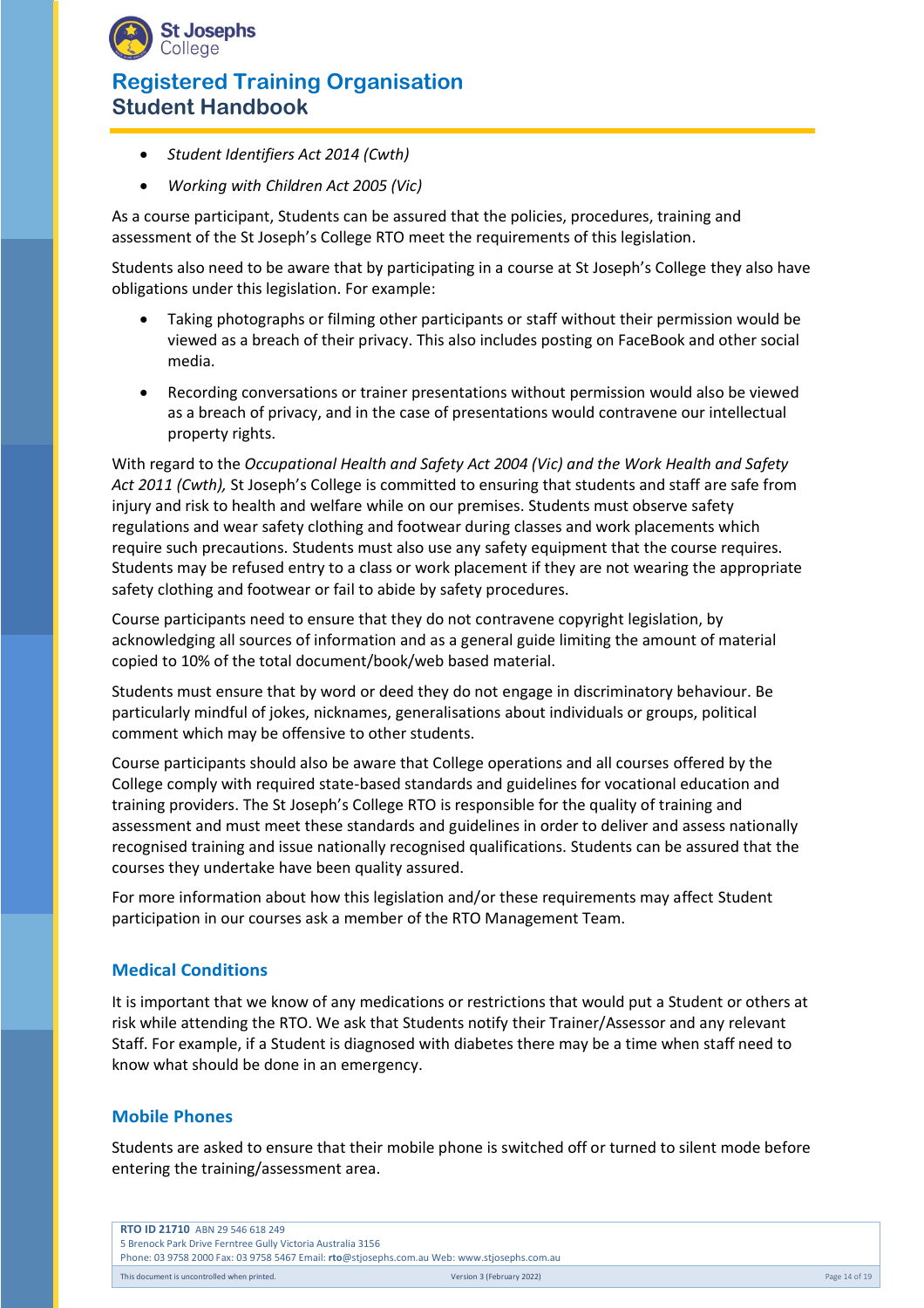

- *Student Identifiers Act 2014 (Cwth)*
- *Working with Children Act 2005 (Vic)*

As a course participant, Students can be assured that the policies, procedures, training and assessment of the St Joseph's College RTO meet the requirements of this legislation.

Students also need to be aware that by participating in a course at St Joseph's College they also have obligations under this legislation. For example:

- Taking photographs or filming other participants or staff without their permission would be viewed as a breach of their privacy. This also includes posting on FaceBook and other social media.
- Recording conversations or trainer presentations without permission would also be viewed as a breach of privacy, and in the case of presentations would contravene our intellectual property rights.

With regard to the *Occupational Health and Safety Act 2004 (Vic) and the Work Health and Safety Act 2011 (Cwth),* St Joseph's College is committed to ensuring that students and staff are safe from injury and risk to health and welfare while on our premises. Students must observe safety regulations and wear safety clothing and footwear during classes and work placements which require such precautions. Students must also use any safety equipment that the course requires. Students may be refused entry to a class or work placement if they are not wearing the appropriate safety clothing and footwear or fail to abide by safety procedures.

Course participants need to ensure that they do not contravene copyright legislation, by acknowledging all sources of information and as a general guide limiting the amount of material copied to 10% of the total document/book/web based material.

Students must ensure that by word or deed they do not engage in discriminatory behaviour. Be particularly mindful of jokes, nicknames, generalisations about individuals or groups, political comment which may be offensive to other students.

Course participants should also be aware that College operations and all courses offered by the College comply with required state-based standards and guidelines for vocational education and training providers. The St Joseph's College RTO is responsible for the quality of training and assessment and must meet these standards and guidelines in order to deliver and assess nationally recognised training and issue nationally recognised qualifications. Students can be assured that the courses they undertake have been quality assured.

For more information about how this legislation and/or these requirements may affect Student participation in our courses ask a member of the RTO Management Team.

## **Medical Conditions**

It is important that we know of any medications or restrictions that would put a Student or others at risk while attending the RTO. We ask that Students notify their Trainer/Assessor and any relevant Staff. For example, if a Student is diagnosed with diabetes there may be a time when staff need to know what should be done in an emergency.

## **Mobile Phones**

Students are asked to ensure that their mobile phone is switched off or turned to silent mode before entering the training/assessment area.

|                                                                                             | <b>RTO ID 21710 ABN 29 546 618 249</b>                      |                           |               |
|---------------------------------------------------------------------------------------------|-------------------------------------------------------------|---------------------------|---------------|
|                                                                                             | 5 Brenock Park Drive Ferntree Gully Victoria Australia 3156 |                           |               |
| Phone: 03 9758 2000 Fax: 03 9758 5467 Email: rto@stjosephs.com.au Web: www.stjosephs.com.au |                                                             |                           |               |
|                                                                                             | This document is uncontrolled when printed.                 | Version 3 (February 2022) | Page 14 of 19 |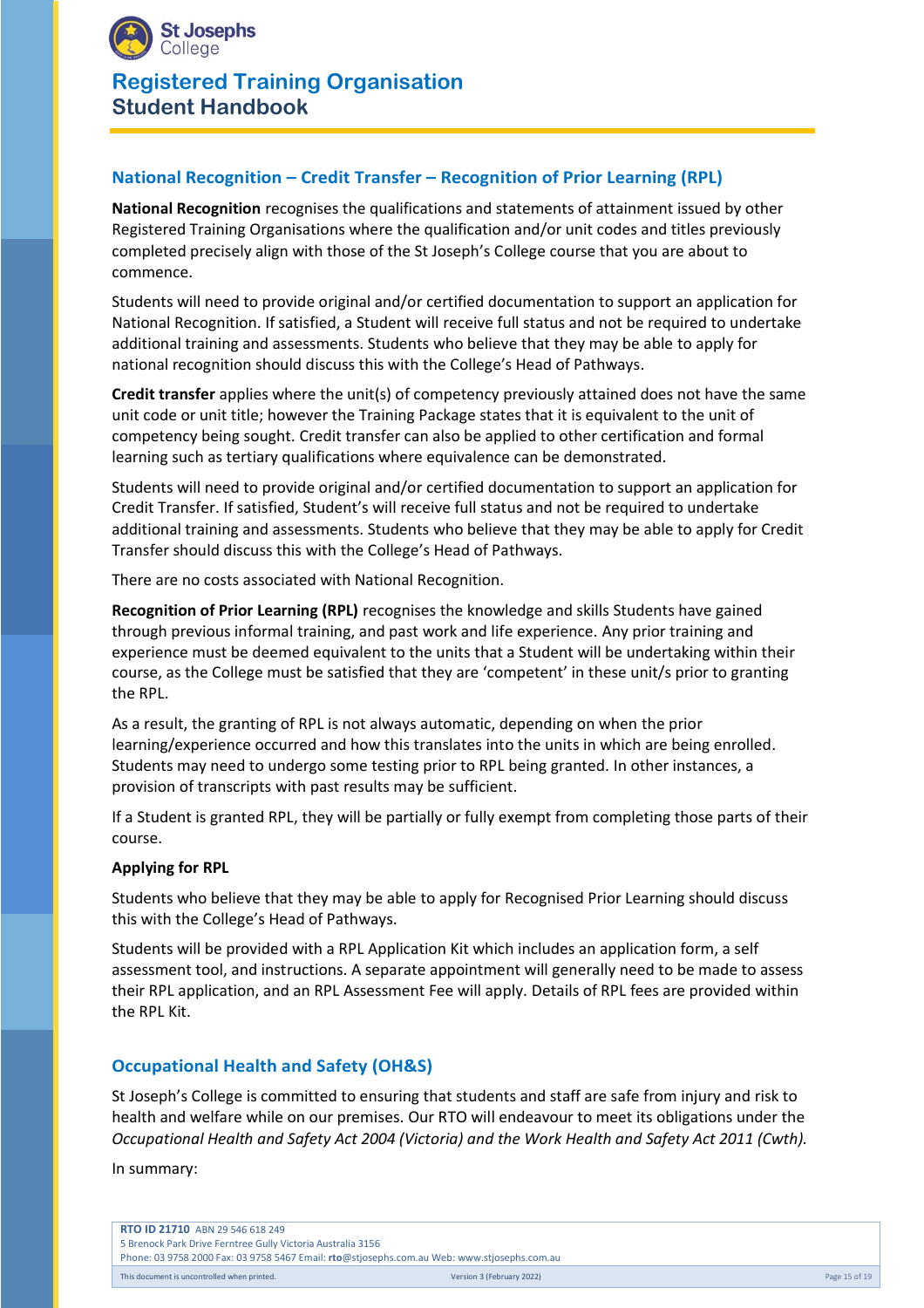

# **National Recognition – Credit Transfer – Recognition of Prior Learning (RPL)**

**National Recognition** recognises the qualifications and statements of attainment issued by other Registered Training Organisations where the qualification and/or unit codes and titles previously completed precisely align with those of the St Joseph's College course that you are about to commence.

Students will need to provide original and/or certified documentation to support an application for National Recognition. If satisfied, a Student will receive full status and not be required to undertake additional training and assessments. Students who believe that they may be able to apply for national recognition should discuss this with the College's Head of Pathways.

**Credit transfer** applies where the unit(s) of competency previously attained does not have the same unit code or unit title; however the Training Package states that it is equivalent to the unit of competency being sought. Credit transfer can also be applied to other certification and formal learning such as tertiary qualifications where equivalence can be demonstrated.

Students will need to provide original and/or certified documentation to support an application for Credit Transfer. If satisfied, Student's will receive full status and not be required to undertake additional training and assessments. Students who believe that they may be able to apply for Credit Transfer should discuss this with the College's Head of Pathways.

There are no costs associated with National Recognition.

**Recognition of Prior Learning (RPL)** recognises the knowledge and skills Students have gained through previous informal training, and past work and life experience. Any prior training and experience must be deemed equivalent to the units that a Student will be undertaking within their course, as the College must be satisfied that they are 'competent' in these unit/s prior to granting the RPL.

As a result, the granting of RPL is not always automatic, depending on when the prior learning/experience occurred and how this translates into the units in which are being enrolled. Students may need to undergo some testing prior to RPL being granted. In other instances, a provision of transcripts with past results may be sufficient.

If a Student is granted RPL, they will be partially or fully exempt from completing those parts of their course.

#### **Applying for RPL**

Students who believe that they may be able to apply for Recognised Prior Learning should discuss this with the College's Head of Pathways.

Students will be provided with a RPL Application Kit which includes an application form, a self assessment tool, and instructions. A separate appointment will generally need to be made to assess their RPL application, and an RPL Assessment Fee will apply. Details of RPL fees are provided within the RPL Kit.

## **Occupational Health and Safety (OH&S)**

St Joseph's College is committed to ensuring that students and staff are safe from injury and risk to health and welfare while on our premises. Our RTO will endeavour to meet its obligations under the *Occupational Health and Safety Act 2004 (Victoria) and the Work Health and Safety Act 2011 (Cwth).*

In summary:

| <b>RTO ID 21710 ABN 29 546 618 249</b>                                                      |                           |               |
|---------------------------------------------------------------------------------------------|---------------------------|---------------|
| 5 Brenock Park Drive Ferntree Gully Victoria Australia 3156                                 |                           |               |
| Phone: 03 9758 2000 Fax: 03 9758 5467 Email: rto@stjosephs.com.au Web: www.stjosephs.com.au |                           |               |
| This document is uncontrolled when printed.                                                 | Version 3 (February 2022) | Page 15 of 19 |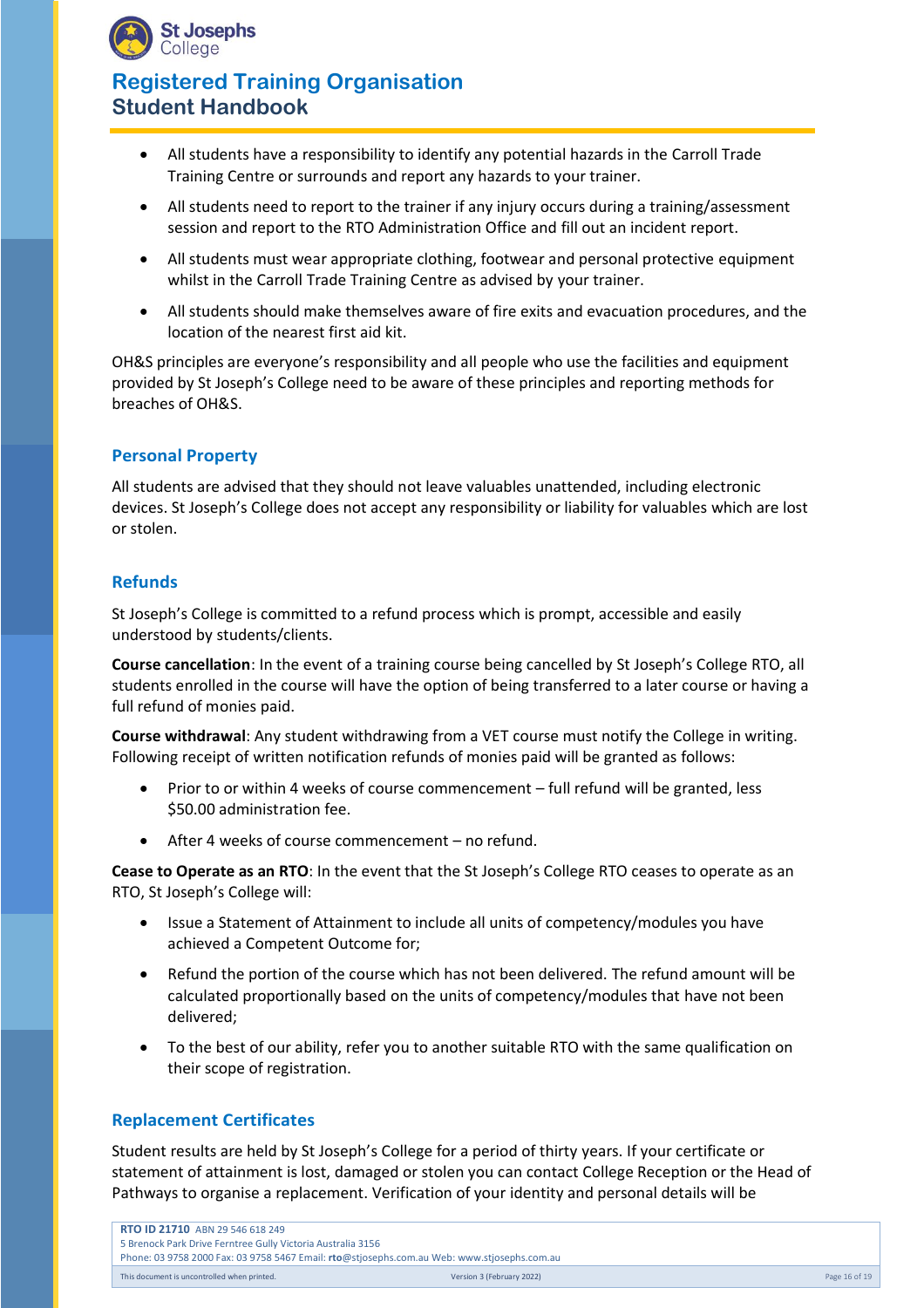

- All students have a responsibility to identify any potential hazards in the Carroll Trade Training Centre or surrounds and report any hazards to your trainer.
- All students need to report to the trainer if any injury occurs during a training/assessment session and report to the RTO Administration Office and fill out an incident report.
- All students must wear appropriate clothing, footwear and personal protective equipment whilst in the Carroll Trade Training Centre as advised by your trainer.
- All students should make themselves aware of fire exits and evacuation procedures, and the location of the nearest first aid kit.

OH&S principles are everyone's responsibility and all people who use the facilities and equipment provided by St Joseph's College need to be aware of these principles and reporting methods for breaches of OH&S.

## **Personal Property**

All students are advised that they should not leave valuables unattended, including electronic devices. St Joseph's College does not accept any responsibility or liability for valuables which are lost or stolen.

#### **Refunds**

St Joseph's College is committed to a refund process which is prompt, accessible and easily understood by students/clients.

**Course cancellation**: In the event of a training course being cancelled by St Joseph's College RTO, all students enrolled in the course will have the option of being transferred to a later course or having a full refund of monies paid.

**Course withdrawal**: Any student withdrawing from a VET course must notify the College in writing. Following receipt of written notification refunds of monies paid will be granted as follows:

- Prior to or within 4 weeks of course commencement full refund will be granted, less \$50.00 administration fee.
- After 4 weeks of course commencement no refund.

**Cease to Operate as an RTO**: In the event that the St Joseph's College RTO ceases to operate as an RTO, St Joseph's College will:

- Issue a Statement of Attainment to include all units of competency/modules you have achieved a Competent Outcome for;
- Refund the portion of the course which has not been delivered. The refund amount will be calculated proportionally based on the units of competency/modules that have not been delivered;
- To the best of our ability, refer you to another suitable RTO with the same qualification on their scope of registration.

#### **Replacement Certificates**

Student results are held by St Joseph's College for a period of thirty years. If your certificate or statement of attainment is lost, damaged or stolen you can contact College Reception or the Head of Pathways to organise a replacement. Verification of your identity and personal details will be

| <b>RTO ID 21710 ABN 29 546 618 249</b>                                                      |                           |               |
|---------------------------------------------------------------------------------------------|---------------------------|---------------|
| 5 Brenock Park Drive Ferntree Gully Victoria Australia 3156                                 |                           |               |
| Phone: 03 9758 2000 Fax: 03 9758 5467 Email: rto@stjosephs.com.au Web: www.stjosephs.com.au |                           |               |
| This document is uncontrolled when printed.                                                 | Version 3 (February 2022) | Page 16 of 19 |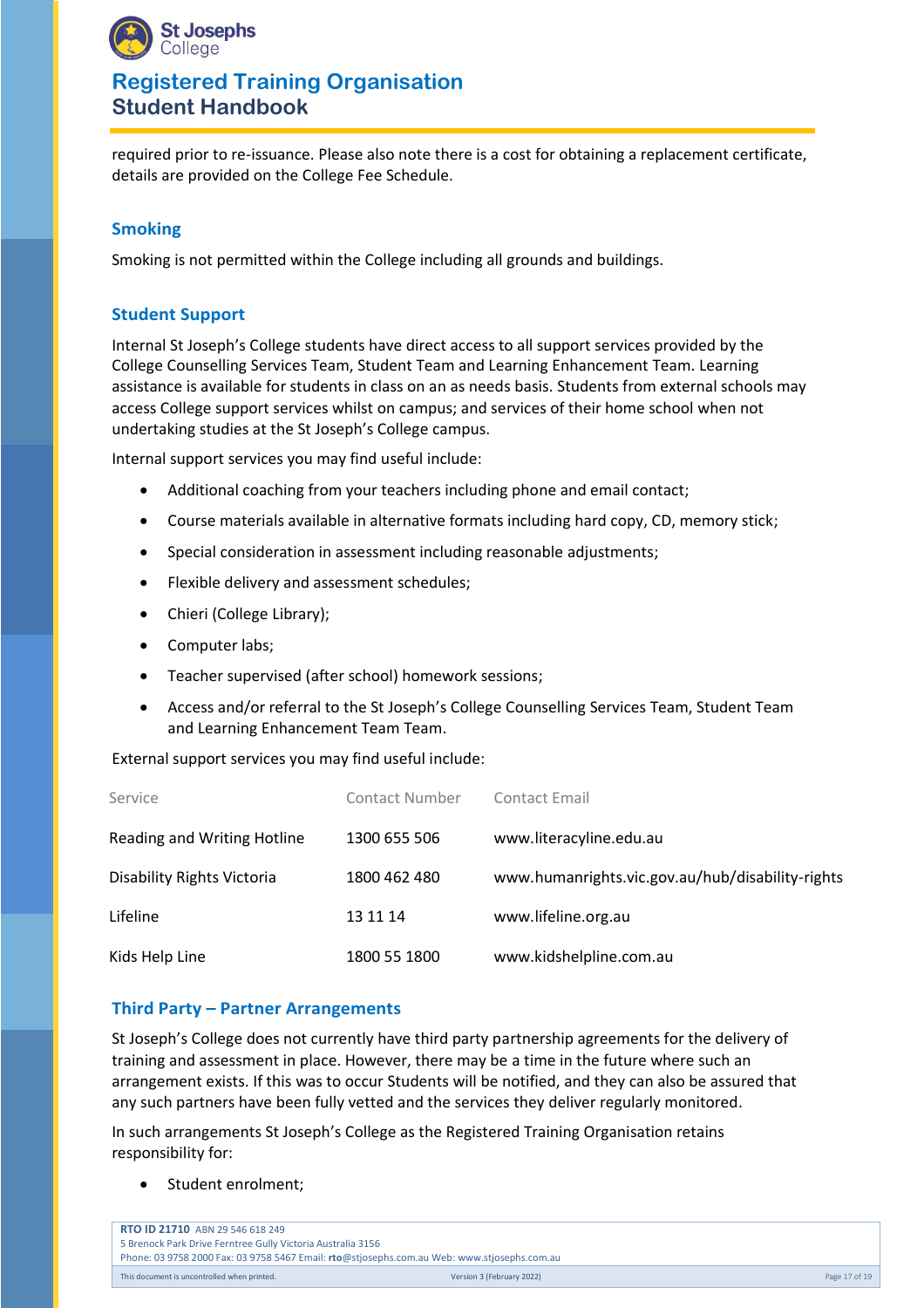

required prior to re-issuance. Please also note there is a cost for obtaining a replacement certificate, details are provided on the College Fee Schedule.

## **Smoking**

Smoking is not permitted within the College including all grounds and buildings.

## **Student Support**

Internal St Joseph's College students have direct access to all support services provided by the College Counselling Services Team, Student Team and Learning Enhancement Team. Learning assistance is available for students in class on an as needs basis. Students from external schools may access College support services whilst on campus; and services of their home school when not undertaking studies at the St Joseph's College campus.

Internal support services you may find useful include:

- Additional coaching from your teachers including phone and email contact;
- Course materials available in alternative formats including hard copy, CD, memory stick;
- Special consideration in assessment including reasonable adjustments;
- Flexible delivery and assessment schedules;
- Chieri (College Library);
- Computer labs;
- Teacher supervised (after school) homework sessions;
- Access and/or referral to the St Joseph's College Counselling Services Team, Student Team and Learning Enhancement Team Team.

External support services you may find useful include:

| Service                     | Contact Number | Contact Email                                    |
|-----------------------------|----------------|--------------------------------------------------|
| Reading and Writing Hotline | 1300 655 506   | www.literacyline.edu.au                          |
| Disability Rights Victoria  | 1800 462 480   | www.humanrights.vic.gov.au/hub/disability-rights |
| Lifeline                    | 13 11 14       | www.lifeline.org.au                              |
| Kids Help Line              | 1800 55 1800   | www.kidshelpline.com.au                          |

#### **Third Party – Partner Arrangements**

St Joseph's College does not currently have third party partnership agreements for the delivery of training and assessment in place. However, there may be a time in the future where such an arrangement exists. If this was to occur Students will be notified, and they can also be assured that any such partners have been fully vetted and the services they deliver regularly monitored.

In such arrangements St Joseph's College as the Registered Training Organisation retains responsibility for:

• Student enrolment;

| <b>RTO ID 21710</b> ABN 29 546 618 249                                                      |                           |               |
|---------------------------------------------------------------------------------------------|---------------------------|---------------|
| 5 Brenock Park Drive Ferntree Gully Victoria Australia 3156                                 |                           |               |
| Phone: 03 9758 2000 Fax: 03 9758 5467 Email: rto@stjosephs.com.au Web: www.stjosephs.com.au |                           |               |
| This document is uncontrolled when printed.                                                 | Version 3 (February 2022) | Page 17 of 19 |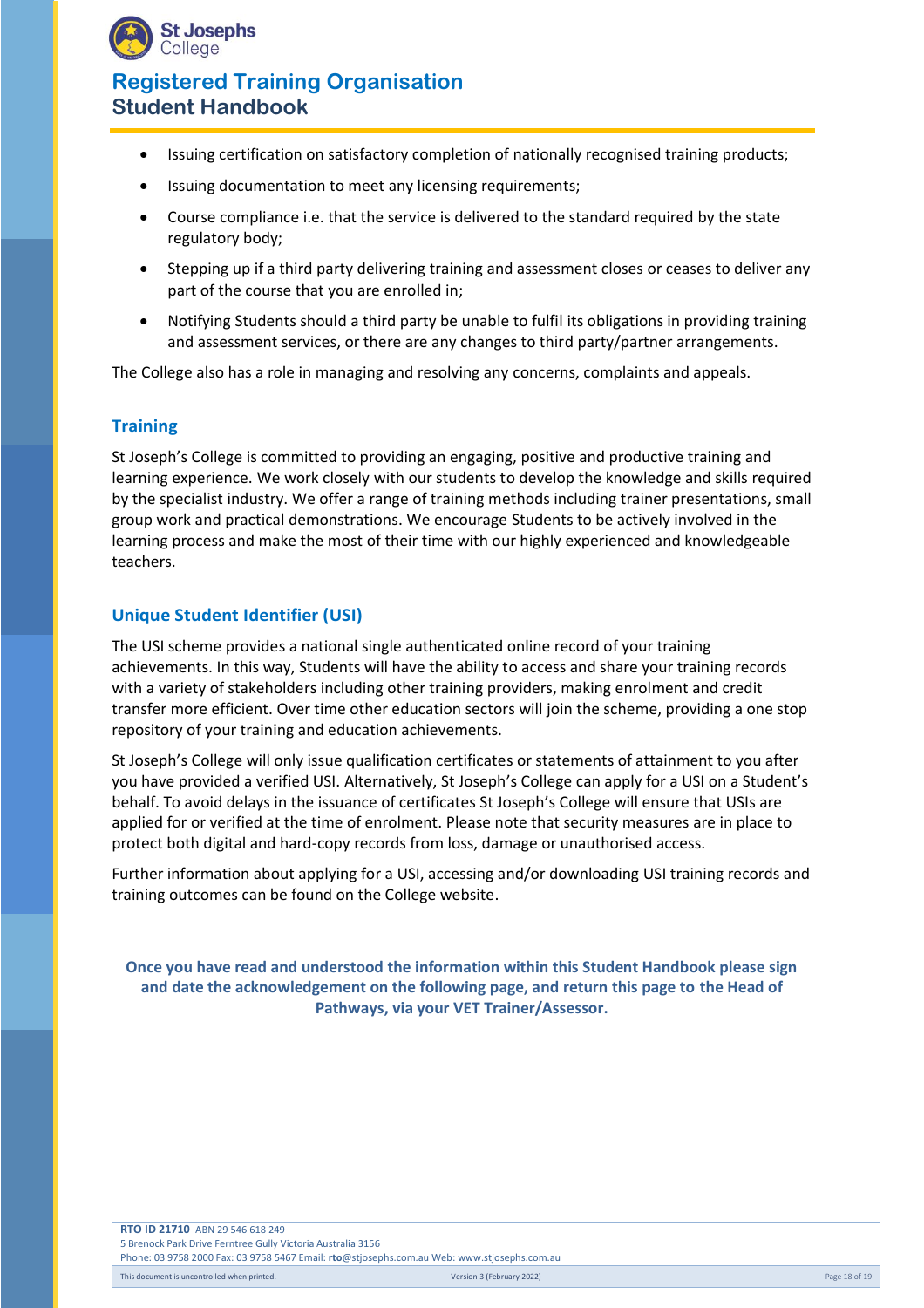

- Issuing certification on satisfactory completion of nationally recognised training products;
- Issuing documentation to meet any licensing requirements;
- Course compliance i.e. that the service is delivered to the standard required by the state regulatory body;
- Stepping up if a third party delivering training and assessment closes or ceases to deliver any part of the course that you are enrolled in;
- Notifying Students should a third party be unable to fulfil its obligations in providing training and assessment services, or there are any changes to third party/partner arrangements.

The College also has a role in managing and resolving any concerns, complaints and appeals.

#### **Training**

St Joseph's College is committed to providing an engaging, positive and productive training and learning experience. We work closely with our students to develop the knowledge and skills required by the specialist industry. We offer a range of training methods including trainer presentations, small group work and practical demonstrations. We encourage Students to be actively involved in the learning process and make the most of their time with our highly experienced and knowledgeable teachers.

#### **Unique Student Identifier (USI)**

The USI scheme provides a national single authenticated online record of your training achievements. In this way, Students will have the ability to access and share your training records with a variety of stakeholders including other training providers, making enrolment and credit transfer more efficient. Over time other education sectors will join the scheme, providing a one stop repository of your training and education achievements.

St Joseph's College will only issue qualification certificates or statements of attainment to you after you have provided a verified USI. Alternatively, St Joseph's College can apply for a USI on a Student's behalf. To avoid delays in the issuance of certificates St Joseph's College will ensure that USIs are applied for or verified at the time of enrolment. Please note that security measures are in place to protect both digital and hard-copy records from loss, damage or unauthorised access.

Further information about applying for a USI, accessing and/or downloading USI training records and training outcomes can be found on the College website.

**Once you have read and understood the information within this Student Handbook please sign and date the acknowledgement on the following page, and return this page to the Head of Pathways, via your VET Trainer/Assessor.**